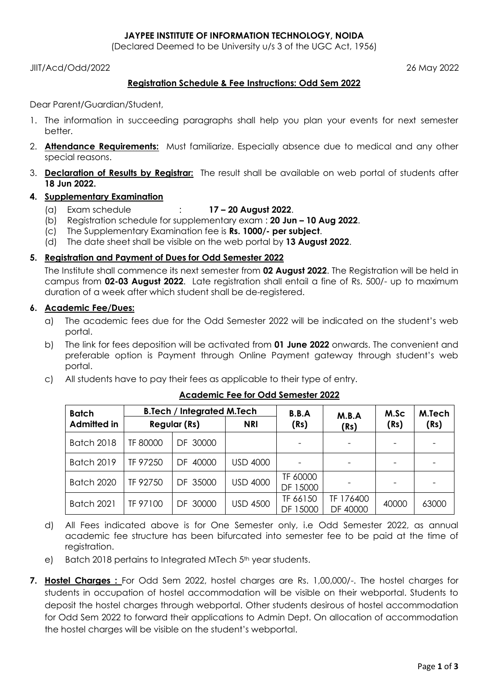## **JAYPEE INSTITUTE OF INFORMATION TECHNOLOGY, NOIDA**

(Declared Deemed to be University u/s 3 of the UGC Act, 1956)

JIIT/Acd/Odd/2022 26 May 2022

# **Registration Schedule & Fee Instructions: Odd Sem 2022**

Dear Parent/Guardian/Student,

- 1. The information in succeeding paragraphs shall help you plan your events for next semester better.
- 2. **Attendance Requirements:** Must familiarize. Especially absence due to medical and any other special reasons.
- 3. **Declaration of Results by Registrar:** The result shall be available on web portal of students after **18 Jun 2022.**

# **4. Supplementary Examination**

- (a) Exam schedule : **17 – 20 August 2022**.
- (b) Registration schedule for supplementary exam : **20 Jun – 10 Aug 2022**.
- (c) The Supplementary Examination fee is **Rs. 1000/- per subject**.
- (d) The date sheet shall be visible on the web portal by **13 August 2022**.

# **5. Registration and Payment of Dues for Odd Semester 2022**

The Institute shall commence its next semester from **02 August 2022**. The Registration will be held in campus from **02-03 August 2022**. Late registration shall entail a fine of Rs. 500/- up to maximum duration of a week after which student shall be de-registered.

# **6. Academic Fee/Dues:**

- a) The academic fees due for the Odd Semester 2022 will be indicated on the student"s web portal.
- b) The link for fees deposition will be activated from **01 June 2022** onwards. The convenient and preferable option is Payment through Online Payment gateway through student"s web portal.
- c) All students have to pay their fees as applicable to their type of entry.

| <b>Batch</b>       | <b>B.Tech / Integrated M.Tech</b> |             |                 | B.B.A                | M.B.A                 | M.Sc  | M.Tech |
|--------------------|-----------------------------------|-------------|-----------------|----------------------|-----------------------|-------|--------|
| <b>Admitted in</b> | <b>Regular (Rs)</b>               |             | <b>NRI</b>      | (Rs)                 | (Rs)                  | (Rs)  | (Rs)   |
| <b>Batch 2018</b>  | TF 80000                          | DF 30000    |                 |                      |                       |       |        |
| <b>Batch 2019</b>  | TF 97250                          | 40000<br>DF | <b>USD 4000</b> |                      |                       |       |        |
| <b>Batch 2020</b>  | TF 92750                          | DF 35000    | <b>USD 4000</b> | TF 60000<br>DF 15000 |                       |       |        |
| <b>Batch 2021</b>  | TF 97100                          | DF 30000    | <b>USD 4500</b> | TF 66150<br>DF 15000 | TF 176400<br>DF 40000 | 40000 | 63000  |

### **Academic Fee for Odd Semester 2022**

- d) All Fees indicated above is for One Semester only, i.e Odd Semester 2022, as annual academic fee structure has been bifurcated into semester fee to be paid at the time of registration.
- e) Batch 2018 pertains to Integrated MTech 5<sup>th</sup> year students.
- **7. Hostel Charges :** For Odd Sem 2022, hostel charges are Rs. 1,00,000/-. The hostel charges for students in occupation of hostel accommodation will be visible on their webportal. Students to deposit the hostel charges through webportal. Other students desirous of hostel accommodation for Odd Sem 2022 to forward their applications to Admin Dept. On allocation of accommodation the hostel charges will be visible on the student"s webportal.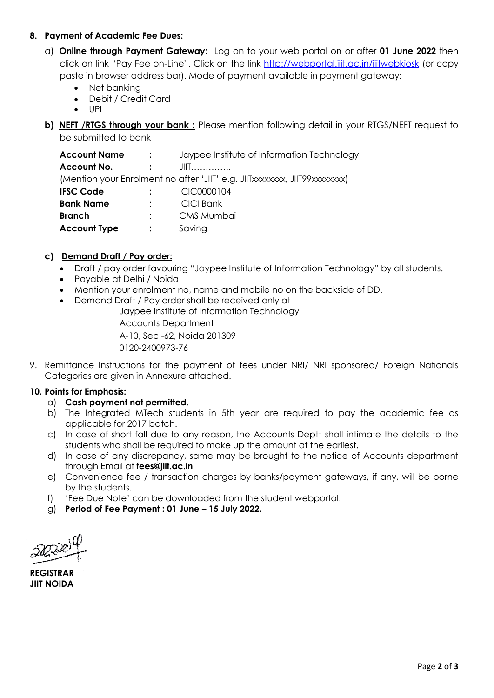# **8. Payment of Academic Fee Dues:**

- a) **Online through Payment Gateway:** Log on to your web portal on or after **01 June 2022** then click on link "Pay Fee on-Line". Click on the link <http://webportal.jiit.ac.in/jiitwebkiosk> (or copy paste in browser address bar). Mode of payment available in payment gateway:
	- Net banking Debit / Credit Card
	-
	- UPI
- **b) NEFT /RTGS through your bank :** Please mention following detail in your RTGS/NEFT request to be submitted to bank

| <b>Account Name</b> | $\mathbf{r}$ . The set of $\mathbf{r}$ | Jaypee Institute of Information Technology                                 |
|---------------------|----------------------------------------|----------------------------------------------------------------------------|
| <b>Account No.</b>  | $\sim$ 100 $\sim$                      | $J\Pi$                                                                     |
|                     |                                        | (Mention your Enrolment no after 'JIIT' e.g. JIITxxxxxxxx, JIIT99xxxxxxxx) |
| <b>IFSC Code</b>    | $\mathcal{L}$                          | ICIC0000104                                                                |
| <b>Bank Name</b>    | $\mathcal{L}$                          | <b>ICICI Bank</b>                                                          |
| <b>Branch</b>       |                                        | CMS Mumbai                                                                 |
| <b>Account Type</b> |                                        | Saving                                                                     |

# **c) Demand Draft / Pay order:**

- Draft / pay order favouring "Jaypee Institute of Information Technology" by all students.
- Payable at Delhi / Noida
- Mention your enrolment no, name and mobile no on the backside of DD.
- Demand Draft / Pay order shall be received only at

Jaypee Institute of Information Technology

Accounts Department A-10, Sec -62, Noida 201309 0120-2400973-76

9. Remittance Instructions for the payment of fees under NRI/ NRI sponsored/ Foreign Nationals Categories are given in Annexure attached.

### **10. Points for Emphasis:**

### a) **Cash payment not permitted**.

- b) The Integrated MTech students in 5th year are required to pay the academic fee as applicable for 2017 batch.
- c) In case of short fall due to any reason, the Accounts Deptt shall intimate the details to the students who shall be required to make up the amount at the earliest.
- d) In case of any discrepancy, same may be brought to the notice of Accounts department through Email at **fees@jiit.ac.in**
- e) Convenience fee / transaction charges by banks/payment gateways, if any, will be borne by the students.
- f) "Fee Due Note" can be downloaded from the student webportal.
- g) **Period of Fee Payment : 01 June – 15 July 2022.**

**REGISTRAR JIIT NOIDA**